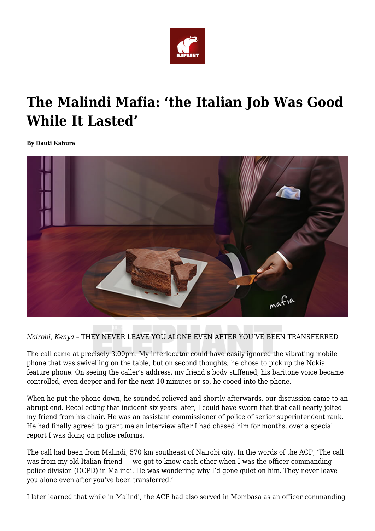

## **The Malindi Mafia: 'the Italian Job Was Good While It Lasted'**

**By Dauti Kahura**



*Nairobi, Kenya –* THEY NEVER LEAVE YOU ALONE EVEN AFTER YOU'VE BEEN TRANSFERRED

The call came at precisely 3.00pm. My interlocutor could have easily ignored the vibrating mobile phone that was swivelling on the table, but on second thoughts, he chose to pick up the Nokia feature phone. On seeing the caller's address, my friend's body stiffened, his baritone voice became controlled, even deeper and for the next 10 minutes or so, he cooed into the phone.

When he put the phone down, he sounded relieved and shortly afterwards, our discussion came to an abrupt end. Recollecting that incident six years later, I could have sworn that that call nearly jolted my friend from his chair. He was an assistant commissioner of police of senior superintendent rank. He had finally agreed to grant me an interview after I had chased him for months, over a special report I was doing on police reforms.

The call had been from Malindi, 570 km southeast of Nairobi city. In the words of the ACP, 'The call was from my old Italian friend — we got to know each other when I was the officer commanding police division (OCPD) in Malindi. He was wondering why I'd gone quiet on him. They never leave you alone even after you've been transferred.'

I later learned that while in Malindi, the ACP had also served in Mombasa as an officer commanding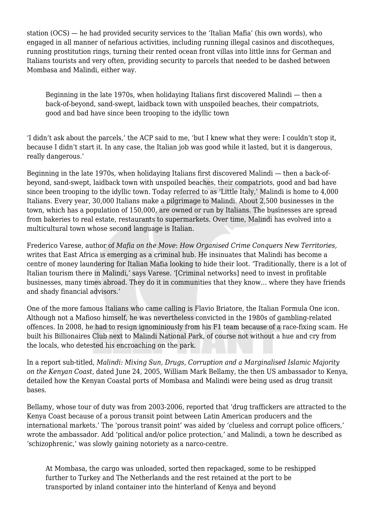station (OCS) — he had provided security services to the 'Italian Mafia' (his own words), who engaged in all manner of nefarious activities, including running illegal casinos and discotheques, running prostitution rings, turning their rented ocean front villas into little inns for German and Italians tourists and very often, providing security to parcels that needed to be dashed between Mombasa and Malindi, either way.

Beginning in the late 1970s, when holidaying Italians first discovered Malindi — then a back-of-beyond, sand-swept, laidback town with unspoiled beaches, their compatriots, good and bad have since been trooping to the idyllic town

'I didn't ask about the parcels,' the ACP said to me, 'but I knew what they were: I couldn't stop it, because I didn't start it. In any case, the Italian job was good while it lasted, but it is dangerous, really dangerous.'

Beginning in the late 1970s, when holidaying Italians first discovered Malindi — then a back-ofbeyond, sand-swept, laidback town with unspoiled beaches, their compatriots, good and bad have since been trooping to the idyllic town. Today referred to as 'Little Italy,' Malindi is home to 4,000 Italians. Every year, 30,000 Italians make a pilgrimage to Malindi. About 2,500 businesses in the town, which has a population of 150,000, are owned or run by Italians. The businesses are spread from bakeries to real estate, restaurants to supermarkets. Over time, Malindi has evolved into a multicultural town whose second language is Italian.

Frederico Varese, author of *Mafia on the Move*: *How Organised Crime Conquers New Territories,* writes that East Africa is emerging as a criminal hub. He insinuates that Malindi has become a centre of money laundering for Italian Mafia looking to hide their loot. 'Traditionally, there is a lot of Italian tourism there in Malindi,' says Varese. '[Criminal networks] need to invest in profitable businesses, many times abroad. They do it in communities that they know… where they have friends and shady financial advisors.'

One of the more famous Italians who came calling is Flavio Briatore, the Italian Formula One icon. Although not a Mafioso himself, he was nevertheless convicted in the 1980s of gambling-related offences. In 2008, he had to resign ignominiously from his F1 team because of a race-fixing scam. He built his Billionaires Club next to Malindi National Park, of course not without a hue and cry from the locals, who detested his encroaching on the park.

In a report sub-titled, *Malindi: Mixing Sun, Drugs, Corruption and a Marginalised Islamic Majority on the Kenyan Coast*, dated June 24, 2005, William Mark Bellamy, the then US ambassador to Kenya, detailed how the Kenyan Coastal ports of Mombasa and Malindi were being used as drug transit bases.

Bellamy, whose tour of duty was from 2003-2006, reported that 'drug traffickers are attracted to the Kenya Coast because of a porous transit point between Latin American producers and the international markets.' The 'porous transit point' was aided by 'clueless and corrupt police officers,' wrote the ambassador. Add 'political and/or police protection,' and Malindi, a town he described as 'schizophrenic,' was slowly gaining notoriety as a narco-centre.

At Mombasa, the cargo was unloaded, sorted then repackaged, some to be reshipped further to Turkey and The Netherlands and the rest retained at the port to be transported by inland container into the hinterland of Kenya and beyond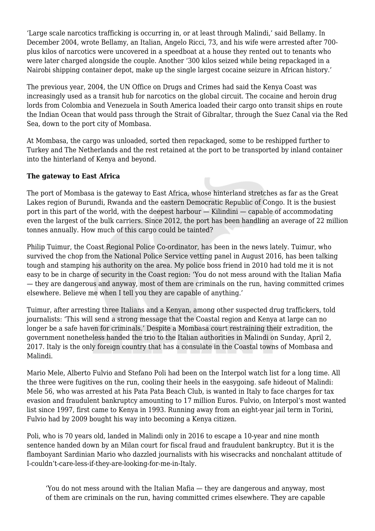'Large scale narcotics trafficking is occurring in, or at least through Malindi,' said Bellamy. In December 2004, wrote Bellamy, an Italian, Angelo Ricci, 73, and his wife were arrested after 700 plus kilos of narcotics were uncovered in a speedboat at a house they rented out to tenants who were later charged alongside the couple. Another '300 kilos seized while being repackaged in a Nairobi shipping container depot, make up the single largest cocaine seizure in African history.'

The previous year, 2004, the UN Office on Drugs and Crimes had said the Kenya Coast was increasingly used as a transit hub for narcotics on the global circuit. The cocaine and heroin drug lords from Colombia and Venezuela in South America loaded their cargo onto transit ships en route the Indian Ocean that would pass through the Strait of Gibraltar, through the Suez Canal via the Red Sea, down to the port city of Mombasa.

At Mombasa, the cargo was unloaded, sorted then repackaged, some to be reshipped further to Turkey and The Netherlands and the rest retained at the port to be transported by inland container into the hinterland of Kenya and beyond.

## **The gateway to East Africa**

The port of Mombasa is the gateway to East Africa, whose hinterland stretches as far as the Great Lakes region of Burundi, Rwanda and the eastern Democratic Republic of Congo. It is the busiest port in this part of the world, with the deepest harbour — Kilindini — capable of accommodating even the largest of the bulk carriers. Since 2012, the port has been handling an average of 22 million tonnes annually. How much of this cargo could be tainted?

Philip Tuimur, the Coast Regional Police Co-ordinator, has been in the news lately. Tuimur, who survived the chop from the National Police Service vetting panel in August 2016, has been talking tough and stamping his authority on the area. My police boss friend in 2010 had told me it is not easy to be in charge of security in the Coast region: 'You do not mess around with the Italian Mafia — they are dangerous and anyway, most of them are criminals on the run, having committed crimes elsewhere. Believe me when I tell you they are capable of anything.'

Tuimur, after arresting three Italians and a Kenyan, among other suspected drug traffickers, told journalists: 'This will send a strong message that the Coastal region and Kenya at large can no longer be a safe haven for criminals.' Despite a Mombasa court restraining their extradition, the government nonetheless handed the trio to the Italian authorities in Malindi on Sunday, April 2, 2017. Italy is the only foreign country that has a consulate in the Coastal towns of Mombasa and Malindi.

Mario Mele, Alberto Fulvio and Stefano Poli had been on the Interpol watch list for a long time. All the three were fugitives on the run, cooling their heels in the easygoing. safe hideout of Malindi: Mele 56, who was arrested at his Pata Pata Beach Club, is wanted in Italy to face charges for tax evasion and fraudulent bankruptcy amounting to 17 million Euros. Fulvio, on Interpol's most wanted list since 1997, first came to Kenya in 1993. Running away from an eight-year jail term in Torini, Fulvio had by 2009 bought his way into becoming a Kenya citizen.

Poli, who is 70 years old, landed in Malindi only in 2016 to escape a 10-year and nine month sentence handed down by an Milan court for fiscal fraud and fraudulent bankruptcy. But it is the flamboyant Sardinian Mario who dazzled journalists with his wisecracks and nonchalant attitude of I-couldn't-care-less-if-they-are-looking-for-me-in-Italy.

'You do not mess around with the Italian Mafia — they are dangerous and anyway, most of them are criminals on the run, having committed crimes elsewhere. They are capable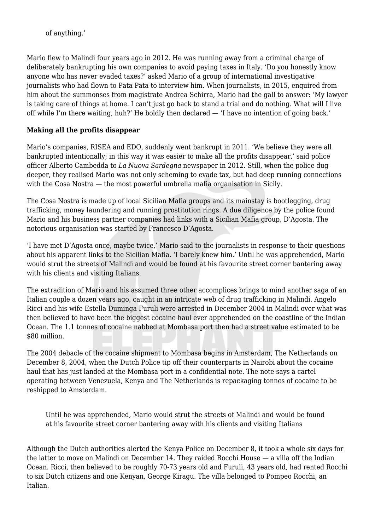of anything.'

Mario flew to Malindi four years ago in 2012. He was running away from a criminal charge of deliberately bankrupting his own companies to avoid paying taxes in Italy. 'Do you honestly know anyone who has never evaded taxes?' asked Mario of a group of international investigative journalists who had flown to Pata Pata to interview him. When journalists, in 2015, enquired from him about the summonses from magistrate Andrea Schirra, Mario had the gall to answer: 'My lawyer is taking care of things at home. I can't just go back to stand a trial and do nothing. What will I live off while I'm there waiting, huh?' He boldly then declared — 'I have no intention of going back.'

## **Making all the profits disappear**

Mario's companies, RISEA and EDO, suddenly went bankrupt in 2011. 'We believe they were all bankrupted intentionally; in this way it was easier to make all the profits disappear,' said police officer Alberto Cambedda to *La Nuova Sardegna* newspaper in 2012. Still, when the police dug deeper, they realised Mario was not only scheming to evade tax, but had deep running connections with the Cosa Nostra — the most powerful umbrella mafia organisation in Sicily.

The Cosa Nostra is made up of local Sicilian Mafia groups and its mainstay is bootlegging, drug trafficking, money laundering and running prostitution rings. A due diligence by the police found Mario and his business partner companies had links with a Sicilian Mafia group, D'Agosta. The notorious organisation was started by Francesco D'Agosta.

'I have met D'Agosta once, maybe twice,' Mario said to the journalists in response to their questions about his apparent links to the Sicilian Mafia. 'I barely knew him.' Until he was apprehended, Mario would strut the streets of Malindi and would be found at his favourite street corner bantering away with his clients and visiting Italians.

The extradition of Mario and his assumed three other accomplices brings to mind another saga of an Italian couple a dozen years ago, caught in an intricate web of drug trafficking in Malindi. Angelo Ricci and his wife Estella Duminga Furuli were arrested in December 2004 in Malindi over what was then believed to have been the biggest cocaine haul ever apprehended on the coastline of the Indian Ocean. The 1.1 tonnes of cocaine nabbed at Mombasa port then had a street value estimated to be \$80 million.

The 2004 debacle of the cocaine shipment to Mombasa begins in Amsterdam, The Netherlands on December 8, 2004, when the Dutch Police tip off their counterparts in Nairobi about the cocaine haul that has just landed at the Mombasa port in a confidential note. The note says a cartel operating between Venezuela, Kenya and The Netherlands is repackaging tonnes of cocaine to be reshipped to Amsterdam.

Until he was apprehended, Mario would strut the streets of Malindi and would be found at his favourite street corner bantering away with his clients and visiting Italians

Although the Dutch authorities alerted the Kenya Police on December 8, it took a whole six days for the latter to move on Malindi on December 14. They raided Rocchi House — a villa off the Indian Ocean. Ricci, then believed to be roughly 70-73 years old and Furuli, 43 years old, had rented Rocchi to six Dutch citizens and one Kenyan, George Kiragu. The villa belonged to Pompeo Rocchi, an Italian.